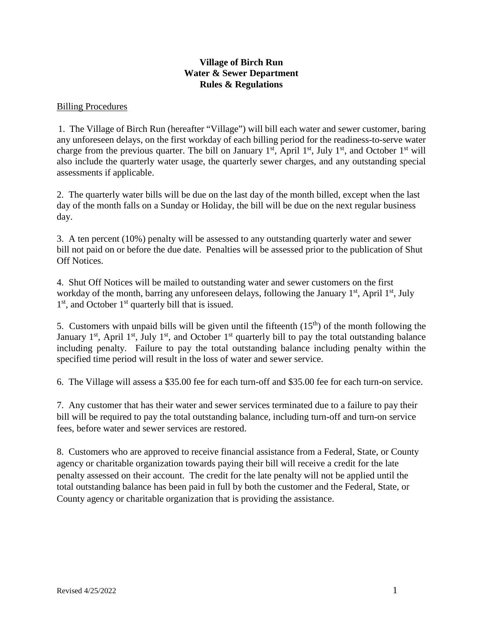## **Village of Birch Run Water & Sewer Department Rules & Regulations**

#### Billing Procedures

1. The Village of Birch Run (hereafter "Village") will bill each water and sewer customer, baring any unforeseen delays, on the first workday of each billing period for the readiness-to-serve water charge from the previous quarter. The bill on January  $1<sup>st</sup>$ , April  $1<sup>st</sup>$ , July  $1<sup>st</sup>$ , and October  $1<sup>st</sup>$  will also include the quarterly water usage, the quarterly sewer charges, and any outstanding special assessments if applicable.

2. The quarterly water bills will be due on the last day of the month billed, except when the last day of the month falls on a Sunday or Holiday, the bill will be due on the next regular business day.

3. A ten percent (10%) penalty will be assessed to any outstanding quarterly water and sewer bill not paid on or before the due date. Penalties will be assessed prior to the publication of Shut Off Notices.

4. Shut Off Notices will be mailed to outstanding water and sewer customers on the first workday of the month, barring any unforeseen delays, following the January  $1<sup>st</sup>$ , April  $1<sup>st</sup>$ , July  $1<sup>st</sup>$ , and October  $1<sup>st</sup>$  quarterly bill that is issued.

5. Customers with unpaid bills will be given until the fifteenth  $(15<sup>th</sup>)$  of the month following the January 1<sup>st</sup>, April 1<sup>st</sup>, July 1<sup>st</sup>, and October 1<sup>st</sup> quarterly bill to pay the total outstanding balance including penalty. Failure to pay the total outstanding balance including penalty within the specified time period will result in the loss of water and sewer service.

6. The Village will assess a \$35.00 fee for each turn-off and \$35.00 fee for each turn-on service.

7. Any customer that has their water and sewer services terminated due to a failure to pay their bill will be required to pay the total outstanding balance, including turn-off and turn-on service fees, before water and sewer services are restored.

8. Customers who are approved to receive financial assistance from a Federal, State, or County agency or charitable organization towards paying their bill will receive a credit for the late penalty assessed on their account. The credit for the late penalty will not be applied until the total outstanding balance has been paid in full by both the customer and the Federal, State, or County agency or charitable organization that is providing the assistance.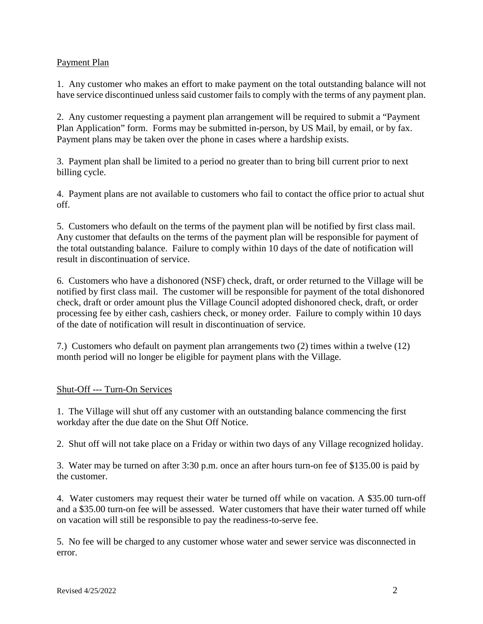## Payment Plan

1. Any customer who makes an effort to make payment on the total outstanding balance will not have service discontinued unless said customer fails to comply with the terms of any payment plan.

2. Any customer requesting a payment plan arrangement will be required to submit a "Payment Plan Application" form. Forms may be submitted in-person, by US Mail, by email, or by fax. Payment plans may be taken over the phone in cases where a hardship exists.

3. Payment plan shall be limited to a period no greater than to bring bill current prior to next billing cycle.

4. Payment plans are not available to customers who fail to contact the office prior to actual shut off.

5. Customers who default on the terms of the payment plan will be notified by first class mail. Any customer that defaults on the terms of the payment plan will be responsible for payment of the total outstanding balance. Failure to comply within 10 days of the date of notification will result in discontinuation of service.

6. Customers who have a dishonored (NSF) check, draft, or order returned to the Village will be notified by first class mail. The customer will be responsible for payment of the total dishonored check, draft or order amount plus the Village Council adopted dishonored check, draft, or order processing fee by either cash, cashiers check, or money order. Failure to comply within 10 days of the date of notification will result in discontinuation of service.

7.) Customers who default on payment plan arrangements two (2) times within a twelve (12) month period will no longer be eligible for payment plans with the Village.

## Shut-Off --- Turn-On Services

1. The Village will shut off any customer with an outstanding balance commencing the first workday after the due date on the Shut Off Notice.

2. Shut off will not take place on a Friday or within two days of any Village recognized holiday.

3. Water may be turned on after 3:30 p.m. once an after hours turn-on fee of \$135.00 is paid by the customer.

4. Water customers may request their water be turned off while on vacation. A \$35.00 turn-off and a \$35.00 turn-on fee will be assessed. Water customers that have their water turned off while on vacation will still be responsible to pay the readiness-to-serve fee.

5. No fee will be charged to any customer whose water and sewer service was disconnected in error.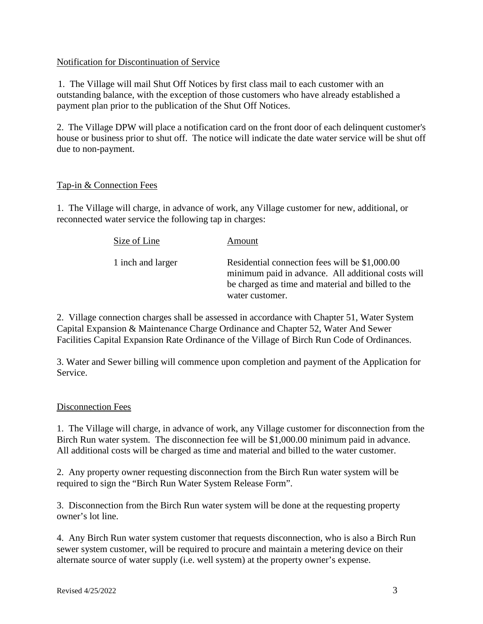### Notification for Discontinuation of Service

1. The Village will mail Shut Off Notices by first class mail to each customer with an outstanding balance, with the exception of those customers who have already established a payment plan prior to the publication of the Shut Off Notices.

2. The Village DPW will place a notification card on the front door of each delinquent customer's house or business prior to shut off. The notice will indicate the date water service will be shut off due to non-payment.

### Tap-in & Connection Fees

1. The Village will charge, in advance of work, any Village customer for new, additional, or reconnected water service the following tap in charges:

| Size of Line      | Amount                                                                                                                                                                       |
|-------------------|------------------------------------------------------------------------------------------------------------------------------------------------------------------------------|
| 1 inch and larger | Residential connection fees will be \$1,000.00<br>minimum paid in advance. All additional costs will<br>be charged as time and material and billed to the<br>water customer. |

2. Village connection charges shall be assessed in accordance with Chapter 51, Water System Capital Expansion & Maintenance Charge Ordinance and Chapter 52, Water And Sewer Facilities Capital Expansion Rate Ordinance of the Village of Birch Run Code of Ordinances.

3. Water and Sewer billing will commence upon completion and payment of the Application for Service.

#### Disconnection Fees

1. The Village will charge, in advance of work, any Village customer for disconnection from the Birch Run water system. The disconnection fee will be \$1,000.00 minimum paid in advance. All additional costs will be charged as time and material and billed to the water customer.

2. Any property owner requesting disconnection from the Birch Run water system will be required to sign the "Birch Run Water System Release Form".

3. Disconnection from the Birch Run water system will be done at the requesting property owner's lot line.

4. Any Birch Run water system customer that requests disconnection, who is also a Birch Run sewer system customer, will be required to procure and maintain a metering device on their alternate source of water supply (i.e. well system) at the property owner's expense.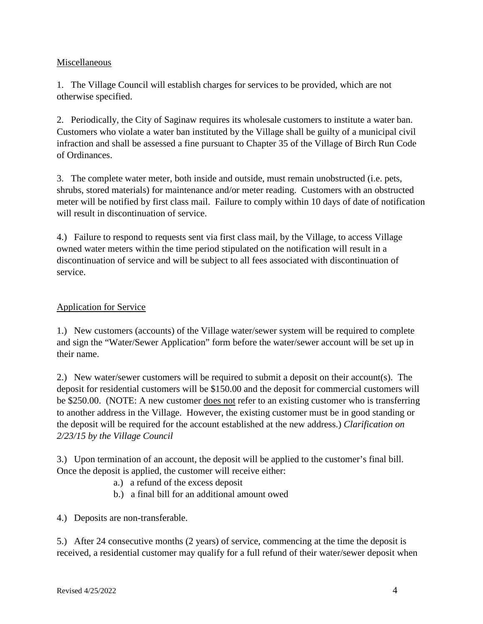## Miscellaneous

1. The Village Council will establish charges for services to be provided, which are not otherwise specified.

2. Periodically, the City of Saginaw requires its wholesale customers to institute a water ban. Customers who violate a water ban instituted by the Village shall be guilty of a municipal civil infraction and shall be assessed a fine pursuant to Chapter 35 of the Village of Birch Run Code of Ordinances.

3. The complete water meter, both inside and outside, must remain unobstructed (i.e. pets, shrubs, stored materials) for maintenance and/or meter reading. Customers with an obstructed meter will be notified by first class mail. Failure to comply within 10 days of date of notification will result in discontinuation of service.

4.) Failure to respond to requests sent via first class mail, by the Village, to access Village owned water meters within the time period stipulated on the notification will result in a discontinuation of service and will be subject to all fees associated with discontinuation of service.

# Application for Service

1.) New customers (accounts) of the Village water/sewer system will be required to complete and sign the "Water/Sewer Application" form before the water/sewer account will be set up in their name.

2.) New water/sewer customers will be required to submit a deposit on their account(s). The deposit for residential customers will be \$150.00 and the deposit for commercial customers will be \$250.00. (NOTE: A new customer does not refer to an existing customer who is transferring to another address in the Village. However, the existing customer must be in good standing or the deposit will be required for the account established at the new address.) *Clarification on 2/23/15 by the Village Council*

3.) Upon termination of an account, the deposit will be applied to the customer's final bill. Once the deposit is applied, the customer will receive either:

- a.) a refund of the excess deposit
- b.) a final bill for an additional amount owed
- 4.) Deposits are non-transferable.

5.) After 24 consecutive months (2 years) of service, commencing at the time the deposit is received, a residential customer may qualify for a full refund of their water/sewer deposit when